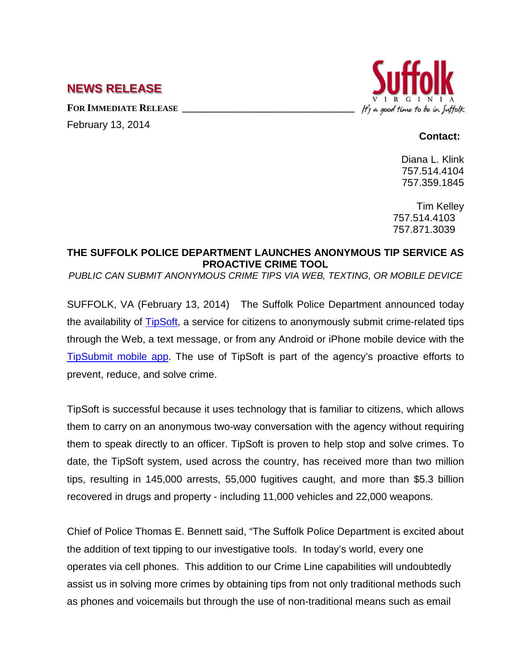## **NEWS RELEASE**

**FOR IMMEDIATE RELEASE \_\_\_\_\_\_\_\_\_\_\_\_\_\_\_\_\_\_\_\_\_\_\_\_\_\_\_\_\_\_\_\_\_\_** February 13, 2014



## **Contact:**

Diana L. Klink 757.514.4104 757.359.1845

Tim Kelley 757.514.4103 757.871.3039

## **THE SUFFOLK POLICE DEPARTMENT LAUNCHES ANONYMOUS TIP SERVICE AS PROACTIVE CRIME TOOL**

*PUBLIC CAN SUBMIT ANONYMOUS CRIME TIPS VIA WEB, TEXTING, OR MOBILE DEVICE*

SUFFOLK, VA (February 13, 2014) The Suffolk Police Department announced today the availability of [TipSoft,](http://www.publicengines.com/products/tipsoft.php) a service for citizens to anonymously submit crime-related tips through the Web, a text message, or from any Android or iPhone mobile device with the [TipSubmit mobile app.](http://www.tipsoft.com/index.asp?P=TipSubmitMobile) The use of TipSoft is part of the agency's proactive efforts to prevent, reduce, and solve crime.

TipSoft is successful because it uses technology that is familiar to citizens, which allows them to carry on an anonymous two-way conversation with the agency without requiring them to speak directly to an officer. TipSoft is proven to help stop and solve crimes. To date, the TipSoft system, used across the country, has received more than two million tips, resulting in 145,000 arrests, 55,000 fugitives caught, and more than \$5.3 billion recovered in drugs and property - including 11,000 vehicles and 22,000 weapons.

Chief of Police Thomas E. Bennett said, "The Suffolk Police Department is excited about the addition of text tipping to our investigative tools. In today's world, every one operates via cell phones. This addition to our Crime Line capabilities will undoubtedly assist us in solving more crimes by obtaining tips from not only traditional methods such as phones and voicemails but through the use of non-traditional means such as email